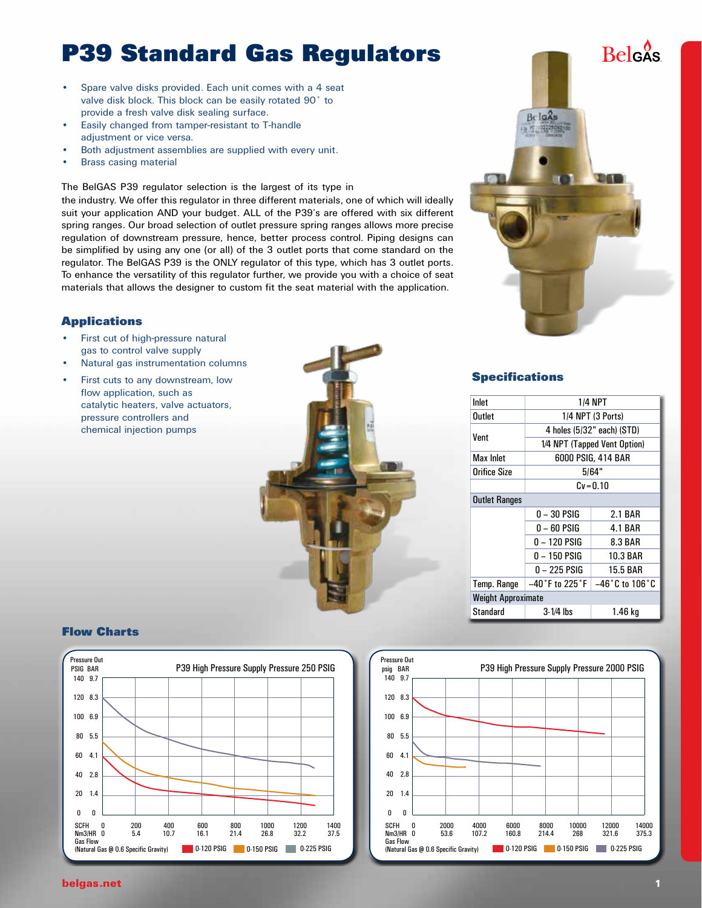## **P39 Standard Gas Regulators**

- Spare valve disks provided. Each unit comes with a 4 seat valve disk block. This block can be easily rotated 90˚ to provide a fresh valve disk sealing surface.
- Easily changed from tamper-resistant to T-handle adjustment or vice versa.
- Both adjustment assemblies are supplied with every unit.
- **Brass casing material**

#### The BelGAS P39 regulator selection is the largest of its type in

the industry. We offer this regulator in three different materials, one of which will ideally suit your application AND your budget. ALL of the P39's are offered with six different spring ranges. Our broad selection of outlet pressure spring ranges allows more precise regulation of downstream pressure, hence, better process control. Piping designs can be simplified by using any one (or all) of the 3 outlet ports that come standard on the regulator. The BelGAS P39 is the ONLY regulator of this type, which has 3 outlet ports. To enhance the versatility of this regulator further, we provide you with a choice of seat materials that allows the designer to custom fit the seat material with the application.

#### **Applications**

- First cut of high-pressure natural gas to control valve supply
- Natural gas instrumentation columns
- First cuts to any downstream, low flow application, such as catalytic heaters, valve actuators, pressure controllers and chemical injection pumps



#### **Specifications**

| Inlet                     | 1/4 NPT                           |                                   |  |  |  |  |  |
|---------------------------|-----------------------------------|-----------------------------------|--|--|--|--|--|
| Outlet                    | 1/4 NPT (3 Ports)                 |                                   |  |  |  |  |  |
| Vent                      |                                   | 4 holes (5/32" each) (STD)        |  |  |  |  |  |
|                           |                                   | 1/4 NPT (Tapped Vent Option)      |  |  |  |  |  |
| Max Inlet                 |                                   | 6000 PSIG, 414 BAR                |  |  |  |  |  |
| Orifice Size              |                                   | 5/64"                             |  |  |  |  |  |
|                           |                                   | $Cv = 0.10$                       |  |  |  |  |  |
| <b>Outlet Ranges</b>      |                                   |                                   |  |  |  |  |  |
|                           | 0 – 30 PSIG                       | 2.1 BAR                           |  |  |  |  |  |
|                           | 0 – 60 PSIG                       | <b>4.1 BAR</b>                    |  |  |  |  |  |
|                           | 0 – 120 PSIG                      | 8.3 BAR                           |  |  |  |  |  |
|                           | 0 – 150 PSIG                      | <b>10.3 BAR</b>                   |  |  |  |  |  |
|                           | 0 – 225 PSIG<br><b>15.5 BAR</b>   |                                   |  |  |  |  |  |
| Temp. Range               | $-40\degree$ F to 225 $\degree$ F | $-46\degree$ C to 106 $\degree$ C |  |  |  |  |  |
| <b>Weight Approximate</b> |                                   |                                   |  |  |  |  |  |
| Standard                  | 3-1/4 lbs<br>1.46 kg              |                                   |  |  |  |  |  |

### **Flow Charts**



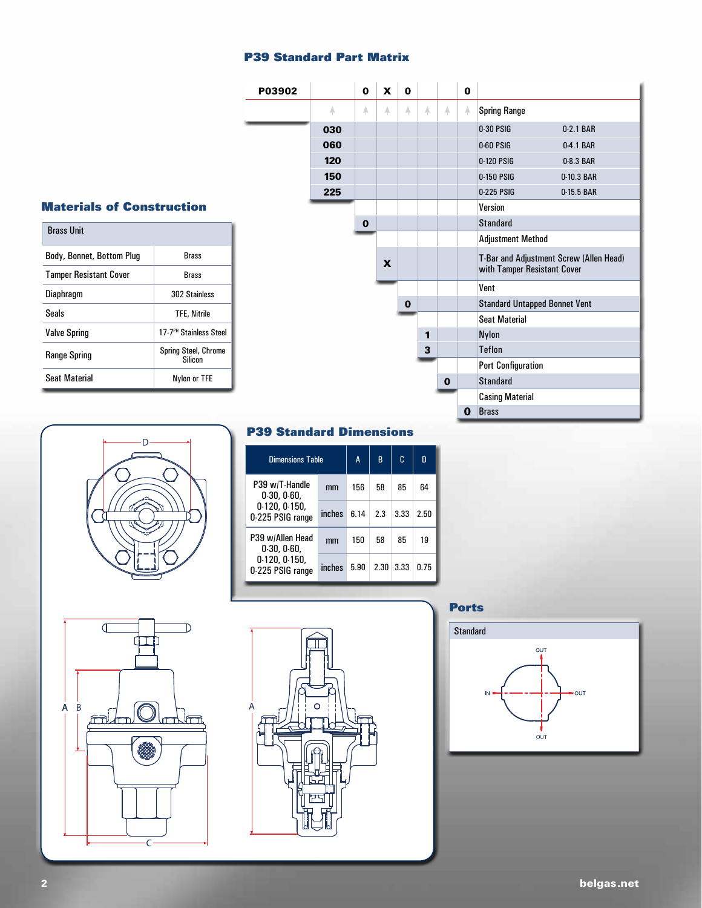### **P39 Standard Part Matrix**



## **Materials of Construction**

| <b>Brass Unit</b>             |                                        |  |  |  |  |  |  |
|-------------------------------|----------------------------------------|--|--|--|--|--|--|
| Body, Bonnet, Bottom Plug     | <b>Brass</b>                           |  |  |  |  |  |  |
| <b>Tamper Resistant Cover</b> | <b>Brass</b>                           |  |  |  |  |  |  |
| Diaphragm                     | 302 Stainless                          |  |  |  |  |  |  |
| Seals                         | <b>TFE. Nitrile</b>                    |  |  |  |  |  |  |
| <b>Valve Spring</b>           | 17-7 <sup>PH</sup> Stainless Steel     |  |  |  |  |  |  |
| <b>Range Spring</b>           | <b>Spring Steel, Chrome</b><br>Silicon |  |  |  |  |  |  |
| <b>Seat Material</b>          | Nylon or TFE                           |  |  |  |  |  |  |



### **P39 Standard Dimensions**

| <b>Dimensions Table</b>                                              | A      | R    | C    | n    |      |
|----------------------------------------------------------------------|--------|------|------|------|------|
| P39 w/T-Handle<br>0.30, 0.60.                                        | mm     | 156  | 58   | 85   | 64   |
| 0.120, 0.150,<br>0-225 PSIG range                                    | inches | 6.14 | 2.3  | 3.33 | 2.50 |
| P39 w/Allen Head<br>0.30, 0.60.<br>0.120, 0.150,<br>0-225 PSIG range | mm     | 150  | 58   | 85   | 19   |
|                                                                      | inches | 5.90 | 2.30 | 3.33 | 0.75 |





### **Ports**

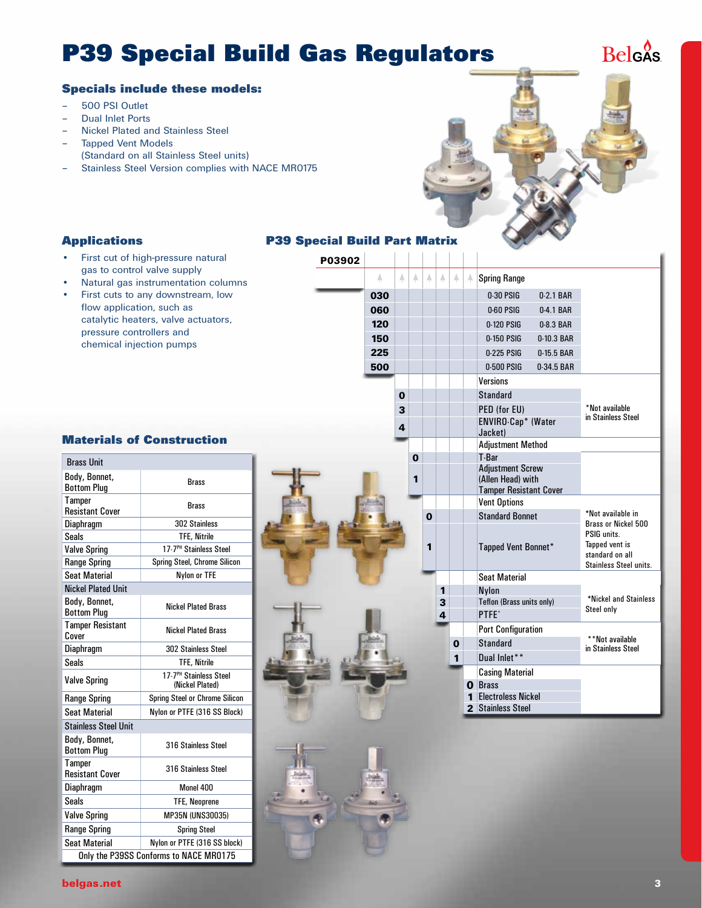# **P39 Special Build Gas Regulators**

P03902

## **Belgas**

### **Specials include these models:**

- 500 PSI Outlet
- Dual Inlet Ports
- Nickel Plated and Stainless Steel
- Tapped Vent Models
- (Standard on all Stainless Steel units)
- Stainless Steel Version complies with NACE MR0175



## **Applications**

- First cut of high-pressure natural gas to control valve supply
- Natural gas instrumentation columns
- First cuts to any downstream, low flow application, such as catalytic heaters, valve actuators, pressure controllers and chemical injection pumps

### **Materials of Construction**

| <b>Brass Unit</b>                       |                                                       |
|-----------------------------------------|-------------------------------------------------------|
| Body, Bonnet,<br><b>Bottom Plua</b>     | Brass                                                 |
| <b>Tamper</b><br><b>Resistant Cover</b> | Brass                                                 |
| Diaphragm                               | 302 Stainless                                         |
| <b>Seals</b>                            | <b>TFE. Nitrile</b>                                   |
| <b>Valve Spring</b>                     | 17-7 <sup>PH</sup> Stainless Steel                    |
| <b>Range Spring</b>                     | Spring Steel, Chrome Silicon                          |
| <b>Seat Material</b>                    | Nylon or TFE                                          |
| <b>Nickel Plated Unit</b>               |                                                       |
| Body, Bonnet,<br><b>Bottom Plug</b>     | <b>Nickel Plated Brass</b>                            |
| <b>Tamper Resistant</b><br>Cover        | <b>Nickel Plated Brass</b>                            |
| Diaphragm                               | <b>302 Stainless Steel</b>                            |
| <b>Seals</b>                            | <b>TFE. Nitrile</b>                                   |
| <b>Valve Spring</b>                     | 17-7 <sup>PH</sup> Stainless Steel<br>(Nickel Plated) |
| <b>Range Spring</b>                     | Spring Steel or Chrome Silicon                        |
| <b>Seat Material</b>                    | Nylon or PTFE (316 SS Block)                          |
| <b>Stainless Steel Unit</b>             |                                                       |
| Body, Bonnet,<br><b>Bottom Plua</b>     | 316 Stainless Steel                                   |
| Tamper<br><b>Resistant Cover</b>        | 316 Stainless Steel                                   |
| Diaphragm                               | Monel 400                                             |
| <b>Seals</b>                            | <b>TFE, Neoprene</b>                                  |
| <b>Valve Spring</b>                     | MP35N (UNS30035)                                      |
| <b>Range Spring</b>                     | <b>Spring Steel</b>                                   |
| <b>Seat Material</b>                    | Nylon or PTFE (316 SS block)                          |
|                                         | Only the P39SS Conforms to NACE MR0175                |

| A.  | A | A        | A           | A | A        | A | <b>Spring Range</b>                          |              |                                                      |  |  |
|-----|---|----------|-------------|---|----------|---|----------------------------------------------|--------------|------------------------------------------------------|--|--|
| 030 |   |          |             |   |          |   | 0-30 PSIG                                    | $0.2.1$ BAR  |                                                      |  |  |
| 060 |   |          |             |   |          |   | $0-60$ PSIG                                  | 0-4.1 BAR    |                                                      |  |  |
| 120 |   |          |             |   |          |   | 0-120 PSIG                                   | 0-8.3 BAR    |                                                      |  |  |
| 150 |   |          |             |   |          |   | 0-150 PSIG                                   | 0-10.3 BAR   |                                                      |  |  |
| 225 |   |          |             |   |          |   | 0-225 PSIG                                   | $0-15.5$ BAR |                                                      |  |  |
| 500 |   |          |             |   |          |   | 0-500 PSIG                                   | 0-34.5 BAR   |                                                      |  |  |
|     |   |          |             |   |          |   | <b>Versions</b>                              |              |                                                      |  |  |
|     | 0 |          |             |   |          |   | <b>Standard</b>                              |              |                                                      |  |  |
|     | 3 |          |             |   |          |   | PED (for EU)                                 |              | *Not available                                       |  |  |
|     | 4 |          |             |   |          |   | ENVIRO-Cap* (Water<br>Jacket)                |              | in Stainless Steel                                   |  |  |
|     |   |          |             |   |          |   | <b>Adjustment Method</b>                     |              |                                                      |  |  |
|     |   | $\bf{0}$ |             |   |          |   | T-Bar                                        |              |                                                      |  |  |
|     |   | 1        |             |   |          |   | <b>Adiustment Screw</b><br>(Allen Head) with |              |                                                      |  |  |
|     |   |          |             |   |          |   | <b>Tamper Resistant Cover</b>                |              |                                                      |  |  |
|     |   |          |             |   |          |   | <b>Vent Options</b>                          |              |                                                      |  |  |
|     |   |          | $\mathbf 0$ |   |          |   | <b>Standard Bonnet</b>                       |              | *Not available in                                    |  |  |
|     |   |          |             |   |          |   |                                              |              | Brass or Nickel 500<br>PSIG units.<br>Tapped vent is |  |  |
|     |   |          | 1           |   |          |   | Tapped Vent Bonnet*                          |              |                                                      |  |  |
|     |   |          |             |   |          |   |                                              |              | standard on all                                      |  |  |
|     |   |          |             |   |          |   | <b>Seat Material</b>                         |              | <b>Stainless Steel units.</b>                        |  |  |
|     |   |          |             | 1 |          |   | <b>Nylon</b>                                 |              |                                                      |  |  |
|     |   |          |             | 3 |          |   | Teflon (Brass units only)                    |              | *Nickel and Stainless<br>Steel only                  |  |  |
|     |   |          |             | 4 |          |   | PTFE <sup>*</sup>                            |              |                                                      |  |  |
|     |   |          |             |   |          |   | <b>Port Configuration</b>                    |              | **Not available                                      |  |  |
|     |   |          |             |   | $\bf{0}$ |   | Standard                                     |              |                                                      |  |  |
|     |   |          |             |   | 1        |   | Dual Inlet**                                 |              | in Stainless Steel                                   |  |  |
|     |   |          |             |   |          |   | <b>Casing Material</b>                       |              |                                                      |  |  |
|     |   |          |             |   |          |   | <b>O</b> Brass                               |              |                                                      |  |  |
|     |   |          |             |   |          |   | 1 Electroless Nickel                         |              |                                                      |  |  |
|     |   |          |             |   |          |   | 2 Stainless Steel                            |              |                                                      |  |  |